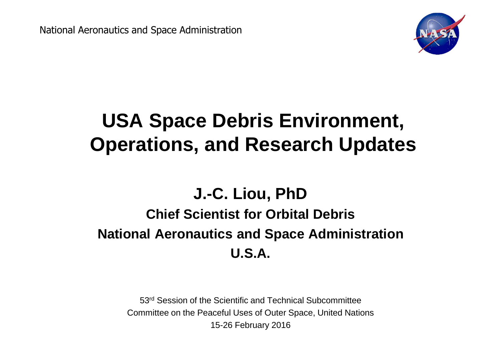National Aeronautics and Space Administration



# **USA Space Debris Environment, Operations, and Research Updates**

#### **J.-C. Liou, PhD**

## **Chief Scientist for Orbital DebrisNational Aeronautics and Space AdministrationU.S.A.**

53<sup>rd</sup> Session of the Scientific and Technical Subcommittee Committee on the Peaceful Uses of Outer Space, United Nations15-26 February 2016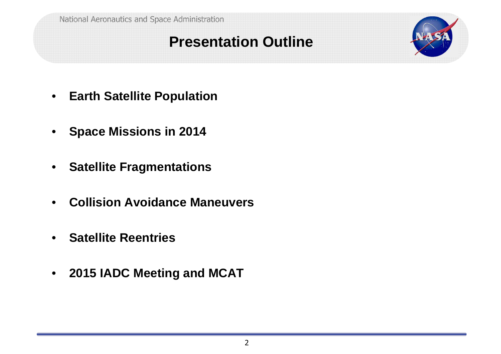#### **Presentation Outline**



- $\bullet$ **Earth Satellite Population**
- $\bullet$ **Space Missions in 2014**
- $\bullet$ **Satellite Fragmentations**
- $\bullet$ **Collision Avoidance Maneuvers**
- $\bullet$ **Satellite Reentries**
- **2015 IADC Meeting and MCAT**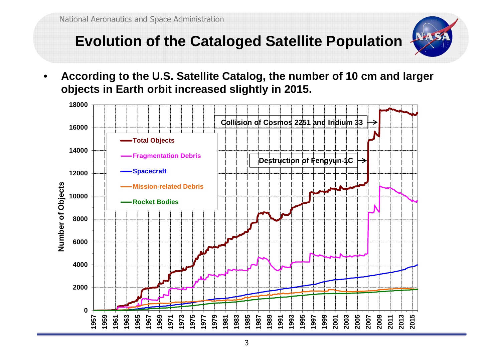## **Evolution of the Cataloged Satellite Population**



• **According to the U.S. Satellite Catalog, the number of 10 cm and larger objects in Earth orbit increased slightly in 2015.**

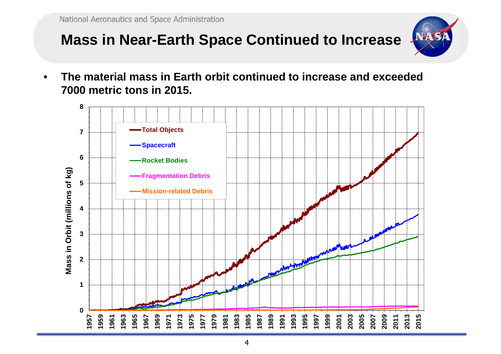### **Mass in Near-Earth Space Continued to Increase**



• **The material mass in Earth orbit continued to increase and exceeded 7000 metric tons in 2015.**

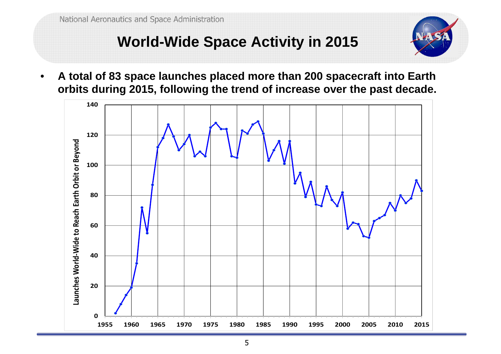# **World-Wide Space Activity in 2015**

• **A total of 83 space launches placed more than 200 spacecraft into Earth orbits during 2015, following the trend of increase over the past decade.**

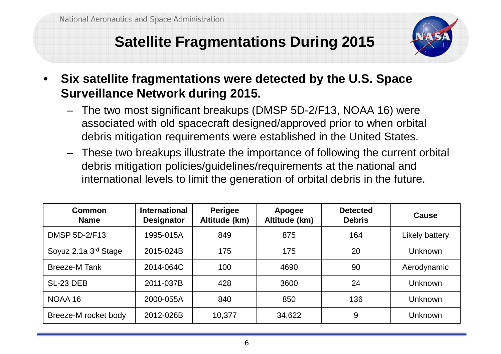## **Satellite Fragmentations During 2015**



- • **Six satellite fragmentations were detected by the U.S. Space Surveillance Network during 2015.**
	- – The two most significant breakups (DMSP 5D-2/F13, NOAA 16) were associated with old spacecraft designed/approved prior to when orbital debris mitigation requirements were established in the United States.
	- – These two breakups illustrate the importance of following the current orbital debris mitigation policies/guidelines/requirements at the national and international levels to limit the generation of orbital debris in the future.

| Common<br><b>Name</b> | <b>International</b><br><b>Designator</b> | <b>Perigee</b><br>Altitude (km) | Apogee<br>Altitude (km) | <b>Detected</b><br><b>Debris</b> | Cause          |
|-----------------------|-------------------------------------------|---------------------------------|-------------------------|----------------------------------|----------------|
| <b>DMSP 5D-2/F13</b>  | 1995-015A                                 | 849                             | 875                     | 164                              | Likely battery |
| Soyuz 2.1a 3rd Stage  | 2015-024B                                 | 175                             | 175                     | 20                               | Unknown        |
| <b>Breeze-M Tank</b>  | 2014-064C                                 | 100                             | 4690                    | 90                               | Aerodynamic    |
| SL-23 DEB             | 2011-037B                                 | 428                             | 3600                    | 24                               | Unknown        |
| NOAA 16               | 2000-055A                                 | 840                             | 850                     | 136                              | <b>Unknown</b> |
| Breeze-M rocket body  | 2012-026B                                 | 10,377                          | 34,622                  | 9                                | <b>Unknown</b> |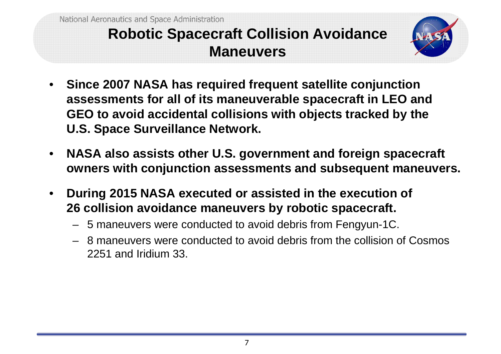#### **Robotic Spacecraft Collision Avoidance Maneuvers**



- • **Since 2007 NASA has required frequent satellite conjunction assessments for all of its maneuverable spacecraft in LEO and GEO to avoid accidental collisions with objects tracked by the U.S. Space Surveillance Network.**
- $\bullet$  **NASA also assists other U.S. government and foreign spacecraft owners with conjunction assessments and subsequent maneuvers.**
- $\bullet$  **During 2015 NASA executed or assisted in the execution of 26 collision avoidance maneuvers by robotic spacecraft.**
	- <sup>5</sup> maneuvers were conducted to avoid debris from Fengyun-1C.
	- 8 maneuvers were conducted to avoid debris from the collision of Cosmos 2251 and Iridium 33.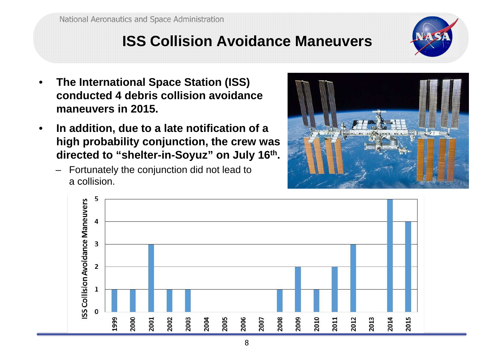### **ISS Collision Avoidance Maneuvers**



- • **The International Space Station (ISS) conducted 4 debris collision avoidance maneuvers in 2015.**
- $\bullet$  **In addition, due to a late notification of a high probability conjunction, the crew was directed to "shelter-in-Soyuz" on July 16th.**
	- Fortunately the conjunction did not lead to a collision.



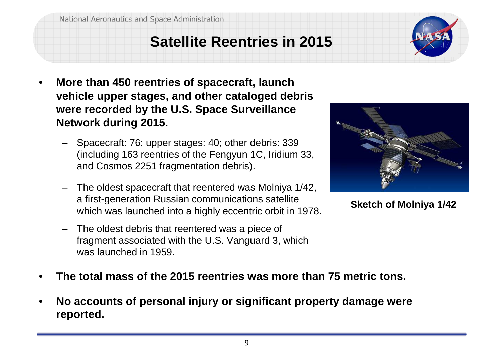### **Satellite Reentries in 2015**

- • **More than 450 reentries of spacecraft, launch vehicle upper stages, and other cataloged debris were recorded by the U.S. Space Surveillance Network during 2015.**
	- – Spacecraft: 76; upper stages: 40; other debris: 339 (including 163 reentries of the Fengyun 1C, Iridium 33, and Cosmos 2251 fragmentation debris).
	- – The oldest spacecraft that reentered was Molniya 1/42, a first-generation Russian communications satellite which was launched into a highly eccentric orbit in 1978.
	- – The oldest debris that reentered was a piece of fragment associated with the U.S. Vanguard 3, which was launched in 1959.



**Sketch of Molniya 1/42**

- •**The total mass of the 2015 reentries was more than 75 metric tons.**
- • **No accounts of personal injury or significant property damage were reported.**

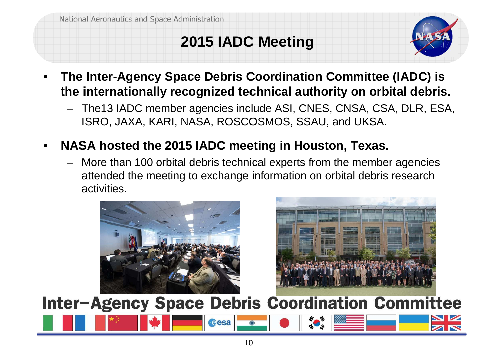# **2015 IADC Meeting**



- • **The Inter-Agency Space Debris Coordination Committee (IADC) is the internationally recognized technical authority on orbital debris.**
	- The13 IADC member agencies include ASI, CNES, CNSA, CSA, DLR, ESA, ISRO, JAXA, KARI, NASA, ROSCOSMOS, SSAU, and UKSA.
- • **NASA hosted the 2015 IADC meeting in Houston, Texas.**
	- More than 100 orbital debris technical experts from the member agencies attended the meeting to exchange information on orbital debris research activities.

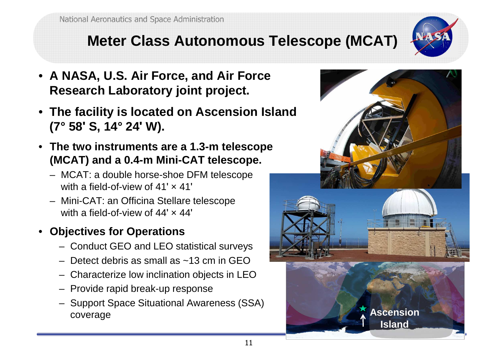## **Meter Class Autonomous Telescope (MCAT)**

- **A NASA, U.S. Air Force, and Air Force Research Laboratory joint project.**
- **The facility is located on Ascension Island (7° 58ʹ S, 14° <sup>24</sup><sup>ʹ</sup> W).**
- **The two instruments are a 1.3-m telescope (MCAT) and a 0.4-m Mini-CAT telescope.**
	- MCAT: a double horse-shoe DFM telescopewith a field-of-view of 41'  $\times$  41'
	- Mini-CAT: an Officina Stellare telescopewith a field-of-view of 44ʹ <sup>×</sup> 44<sup>ʹ</sup>
- **Objectives for Operations**
	- Conduct GEO and LEO statistical surveys
	- Detect debris as small as ~13 cm in GEO
	- Characterize low inclination objects in LEO
	- Provide rapid break-up response
	- Support Space Situational Awareness (SSA) coveragee and the set of the set of the set of the set of the set of the set of the set of the set of the set of the set of the set of the set of the set of the set of the set of the set of the set of the set of the set of the set